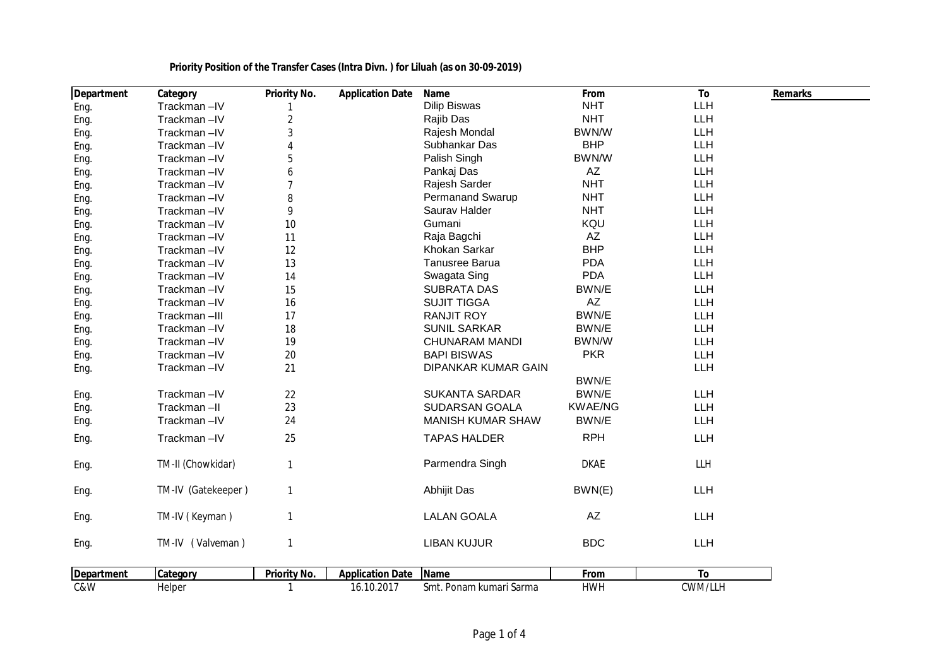| Department | Category           | <b>Priority No.</b> | <b>Application Date</b> | Name                     | From           | To         | <b>Remarks</b> |
|------------|--------------------|---------------------|-------------------------|--------------------------|----------------|------------|----------------|
| Eng.       | Trackman-IV        |                     |                         | <b>Dilip Biswas</b>      | <b>NHT</b>     | LLH        |                |
| Eng.       | Trackman-IV        | $\sqrt{2}$          |                         | Rajib Das                | <b>NHT</b>     | LLH        |                |
| Eng.       | Trackman-IV        | 3                   |                         | Rajesh Mondal            | BWN/W          | LLH        |                |
| Eng.       | Trackman-IV        | $\overline{4}$      |                         | Subhankar Das            | <b>BHP</b>     | LLH        |                |
| Eng.       | Trackman-IV        | 5                   |                         | Palish Singh             | BWN/W          | <b>LLH</b> |                |
| Eng.       | Trackman-IV        | 6                   |                         | Pankaj Das               | AZ             | LLH        |                |
| Eng.       | Trackman-IV        | $\overline{7}$      |                         | Rajesh Sarder            | <b>NHT</b>     | LLH        |                |
| Eng.       | Trackman-IV        | $\, 8$              |                         | <b>Permanand Swarup</b>  | <b>NHT</b>     | LLH        |                |
| Eng.       | Trackman-IV        | 9                   |                         | Saurav Halder            | <b>NHT</b>     | LLH        |                |
| Eng.       | Trackman-IV        | 10                  |                         | Gumani                   | KQU            | LLH        |                |
| Eng.       | Trackman-IV        | 11                  |                         | Raja Bagchi              | AZ             | LLH        |                |
| Eng.       | Trackman-IV        | 12                  |                         | Khokan Sarkar            | <b>BHP</b>     | <b>LLH</b> |                |
| Eng.       | Trackman-IV        | 13                  |                         | <b>Tanusree Barua</b>    | <b>PDA</b>     | <b>LLH</b> |                |
| Eng.       | Trackman-IV        | 14                  |                         | Swagata Sing             | <b>PDA</b>     | <b>LLH</b> |                |
| Eng.       | Trackman-IV        | 15                  |                         | <b>SUBRATA DAS</b>       | BWN/E          | LLH        |                |
| Eng.       | Trackman-IV        | 16                  |                         | <b>SUJIT TIGGA</b>       | AZ             | LLH        |                |
| Eng.       | Trackman-III       | 17                  |                         | <b>RANJIT ROY</b>        | BWN/E          | LLH        |                |
| Eng.       | Trackman-IV        | 18                  |                         | <b>SUNIL SARKAR</b>      | BWN/E          | LLH        |                |
| Eng.       | Trackman-IV        | 19                  |                         | <b>CHUNARAM MANDI</b>    | BWN/W          | LLH        |                |
| Eng.       | Trackman-IV        | 20                  |                         | <b>BAPI BISWAS</b>       | <b>PKR</b>     | LLH        |                |
| Eng.       | Trackman-IV        | 21                  |                         | DIPANKAR KUMAR GAIN      |                | LLH        |                |
|            |                    |                     |                         |                          | BWN/E          |            |                |
| Eng.       | Trackman-IV        | 22                  |                         | <b>SUKANTA SARDAR</b>    | BWN/E          | LLH        |                |
| Eng.       | Trackman-II        | 23                  |                         | <b>SUDARSAN GOALA</b>    | <b>KWAE/NG</b> | LLH        |                |
| Eng.       | Trackman-IV        | 24                  |                         | <b>MANISH KUMAR SHAW</b> | BWN/E          | LLH        |                |
| Eng.       | Trackman-IV        | 25                  |                         | <b>TAPAS HALDER</b>      | <b>RPH</b>     | LLH        |                |
| Eng.       | TM-II (Chowkidar)  | $\mathbf{1}$        |                         | Parmendra Singh          | <b>DKAE</b>    | <b>LLH</b> |                |
| Eng.       | TM-IV (Gatekeeper) | $\mathbf{1}$        |                         | Abhijit Das              | BWN(E)         | LLH        |                |
| Eng.       | TM-IV (Keyman)     | $\mathbf{1}$        |                         | <b>LALAN GOALA</b>       | AZ             | LLH        |                |
| Eng.       | TM-IV (Valveman)   | $\mathbf{1}$        |                         | <b>LIBAN KUJUR</b>       | <b>BDC</b>     | LLH        |                |
| Department | Category           | Priority No.        | <b>Application Date</b> | Name                     | From           | To         |                |
| C&W        | Helper             | $\mathbf{1}$        | 16.10.2017              | Smt. Ponam kumari Sarma  | <b>HWH</b>     | CWM/LLH    |                |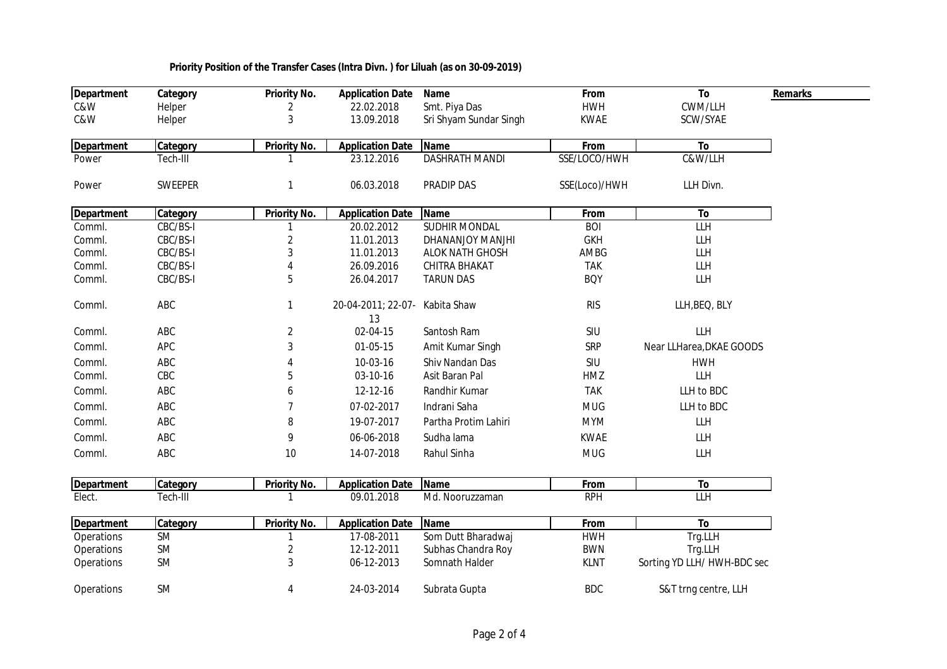| Department        | Category   | <b>Priority No.</b> | <b>Application Date</b>  | Name                   | From          | To                          |
|-------------------|------------|---------------------|--------------------------|------------------------|---------------|-----------------------------|
| C&W               | Helper     | 2                   | 22.02.2018               | Smt. Piya Das          | <b>HWH</b>    | CWM/LLH                     |
| C&W               | Helper     | 3                   | 13.09.2018               | Sri Shyam Sundar Singh | <b>KWAE</b>   | SCW/SYAE                    |
| <b>Department</b> | Category   | Priority No.        | <b>Application Date</b>  | <b>Name</b>            | From          | To                          |
| Power             | Tech-III   |                     | 23.12.2016               | <b>DASHRATH MANDI</b>  | SSE/LOCO/HWH  | C&W/LLH                     |
| Power             | SWEEPER    |                     | 06.03.2018               | PRADIP DAS             | SSE(Loco)/HWH | LLH Divn.                   |
| <b>Department</b> | Category   | <b>Priority No.</b> | <b>Application Date</b>  | <b>Name</b>            | From          | To                          |
| Comml.            | CBC/BS-I   |                     | 20.02.2012               | <b>SUDHIR MONDAL</b>   | <b>BOI</b>    | <b>LLH</b>                  |
| Comml.            | CBC/BS-I   | $\sqrt{2}$          | 11.01.2013               | DHANANJOY MANJHI       | <b>GKH</b>    | LLH                         |
| Comml.            | CBC/BS-I   | 3                   | 11.01.2013               | <b>ALOK NATH GHOSH</b> | AMBG          | LLH                         |
| Comml.            | CBC/BS-I   |                     | 26.09.2016               | CHITRA BHAKAT          | <b>TAK</b>    | LLH                         |
| Comml.            | CBC/BS-I   | 5                   | 26.04.2017               | <b>TARUN DAS</b>       | <b>BQY</b>    | LLH                         |
| Comml.            | ABC        | 1                   | 20-04-2011; 22-07-<br>13 | Kabita Shaw            | <b>RIS</b>    | LLH, BEQ, BLY               |
| Comml.            | ABC        | $\overline{2}$      | 02-04-15                 | Santosh Ram            | SIU           | LLH                         |
| Comml.            | <b>APC</b> | 3                   | 01-05-15                 | Amit Kumar Singh       | SRP           | Near LLHarea, DKAE GOODS    |
| Comml.            | ABC        |                     | 10-03-16                 | Shiv Nandan Das        | SIU           | <b>HWH</b>                  |
| Comml.            | CBC        | 5                   | 03-10-16                 | Asit Baran Pal         | HMZ           | <b>LLH</b>                  |
| Comml.            | ABC        | 6                   | 12-12-16                 | Randhir Kumar          | <b>TAK</b>    | LLH to BDC                  |
| Comml.            | ABC        | $\overline{7}$      | 07-02-2017               | Indrani Saha           | <b>MUG</b>    | LLH to BDC                  |
| Comml.            | ABC        | 8                   | 19-07-2017               | Partha Protim Lahiri   | <b>MYM</b>    | LLH                         |
| Comml.            | ABC        | 9                   | 06-06-2018               | Sudha lama             | <b>KWAE</b>   | LLH                         |
| Comml.            | ABC        | 10                  | 14-07-2018               | Rahul Sinha            | <b>MUG</b>    | LLH                         |
| <b>Department</b> | Category   | Priority No.        | <b>Application Date</b>  | <b>Name</b>            | From          | To                          |
| Elect.            | Tech-III   |                     | 09.01.2018               | Md. Nooruzzaman        | <b>RPH</b>    | <b>LLH</b>                  |
| <b>Department</b> | Category   | <b>Priority No.</b> | <b>Application Date</b>  | <b>Name</b>            | From          | To                          |
| Operations        | SM         |                     | 17-08-2011               | Som Dutt Bharadwaj     | <b>HWH</b>    | Trg.LLH                     |
| Operations        | SM         | 2                   | 12-12-2011               | Subhas Chandra Roy     | <b>BWN</b>    | Trg.LLH                     |
| Operations        | SM         | 3                   | 06-12-2013               | Somnath Halder         | <b>KLNT</b>   | Sorting YD LLH/ HWH-BDC sec |
| Operations        | SM         | 4                   | 24-03-2014               | Subrata Gupta          | <b>BDC</b>    | S&T trng centre, LLH        |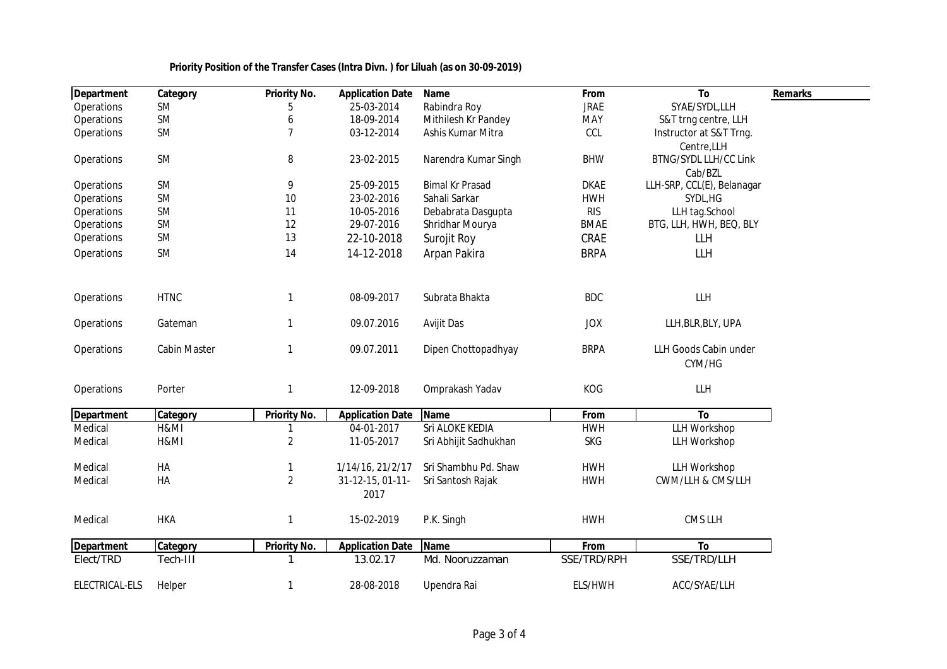| <b>Department</b> | Category     | Priority No.        | <b>Application Date</b> | Name                   | From        | To                         | <b>Remarks</b> |
|-------------------|--------------|---------------------|-------------------------|------------------------|-------------|----------------------------|----------------|
| Operations        | <b>SM</b>    | 5                   | 25-03-2014              | Rabindra Roy           | <b>JRAE</b> | SYAE/SYDL,LLH              |                |
| Operations        | <b>SM</b>    | 6                   | 18-09-2014              | Mithilesh Kr Pandey    | <b>MAY</b>  | S&T trng centre, LLH       |                |
| Operations        | <b>SM</b>    | $\overline{7}$      | 03-12-2014              | Ashis Kumar Mitra      | CCL         | Instructor at S&T Trng.    |                |
|                   |              |                     |                         |                        |             | Centre, LLH                |                |
| Operations        | SM           | 8                   | 23-02-2015              | Narendra Kumar Singh   | <b>BHW</b>  | BTNG/SYDL LLH/CC Link      |                |
|                   |              |                     |                         |                        |             | Cab/BZL                    |                |
| Operations        | SM           | 9                   | 25-09-2015              | <b>Bimal Kr Prasad</b> | <b>DKAE</b> | LLH-SRP, CCL(E), Belanagar |                |
| Operations        | SM           | 10                  | 23-02-2016              | Sahali Sarkar          | <b>HWH</b>  | SYDL, HG                   |                |
| Operations        | SM           | 11                  | 10-05-2016              | Debabrata Dasgupta     | <b>RIS</b>  | LLH tag.School             |                |
| Operations        | SM           | 12                  | 29-07-2016              | Shridhar Mourya        | <b>BMAE</b> | BTG, LLH, HWH, BEQ, BLY    |                |
| Operations        | SM           | 13                  | 22-10-2018              | Surojit Roy            | CRAE        | <b>LLH</b>                 |                |
| Operations        | <b>SM</b>    | 14                  | 14-12-2018              | Arpan Pakira           | <b>BRPA</b> | LLH                        |                |
|                   |              |                     |                         |                        |             |                            |                |
| Operations        | <b>HTNC</b>  | 1                   | 08-09-2017              | Subrata Bhakta         | <b>BDC</b>  | LLH                        |                |
|                   |              |                     |                         |                        |             |                            |                |
| Operations        | Gateman      | 1                   | 09.07.2016              | Avijit Das             | <b>JOX</b>  | LLH, BLR, BLY, UPA         |                |
|                   |              |                     |                         |                        |             |                            |                |
| Operations        | Cabin Master | 1                   | 09.07.2011              | Dipen Chottopadhyay    | <b>BRPA</b> | LLH Goods Cabin under      |                |
|                   |              |                     |                         |                        |             | CYM/HG                     |                |
| Operations        | Porter       | $\mathbf{1}$        | 12-09-2018              | Omprakash Yadav        | KOG         | <b>LLH</b>                 |                |
|                   |              |                     |                         |                        |             |                            |                |
| <b>Department</b> | Category     | <b>Priority No.</b> | <b>Application Date</b> | <b>Name</b>            | From        | To                         |                |
| Medical           | H&MI         |                     | 04-01-2017              | Sri ALOKE KEDIA        | <b>HWH</b>  | <b>LLH Workshop</b>        |                |
| Medical           | H&MI         | $\overline{2}$      | 11-05-2017              | Sri Abhijit Sadhukhan  | <b>SKG</b>  | <b>LLH Workshop</b>        |                |
|                   |              |                     |                         |                        |             |                            |                |
| Medical           | HA           | 1                   | 1/14/16, 21/2/17        | Sri Shambhu Pd. Shaw   | <b>HWH</b>  | <b>LLH Workshop</b>        |                |
| Medical           | HA           | $\overline{2}$      | 31-12-15, 01-11-        | Sri Santosh Rajak      | <b>HWH</b>  | CWM/LLH & CMS/LLH          |                |
|                   |              |                     | 2017                    |                        |             |                            |                |
|                   |              |                     |                         |                        |             |                            |                |
| Medical           | <b>HKA</b>   | 1                   | 15-02-2019              | P.K. Singh             | <b>HWH</b>  | <b>CMS LLH</b>             |                |
| <b>Department</b> | Category     | <b>Priority No.</b> | <b>Application Date</b> | <b>Name</b>            | From        | To                         |                |
| Elect/TRD         | Tech-III     | 1                   | 13.02.17                | Md. Nooruzzaman        | SSE/TRD/RPH | SSE/TRD/LLH                |                |
|                   |              |                     |                         |                        |             |                            |                |
| ELECTRICAL-ELS    | Helper       | 1                   | 28-08-2018              | Upendra Rai            | ELS/HWH     | ACC/SYAE/LLH               |                |